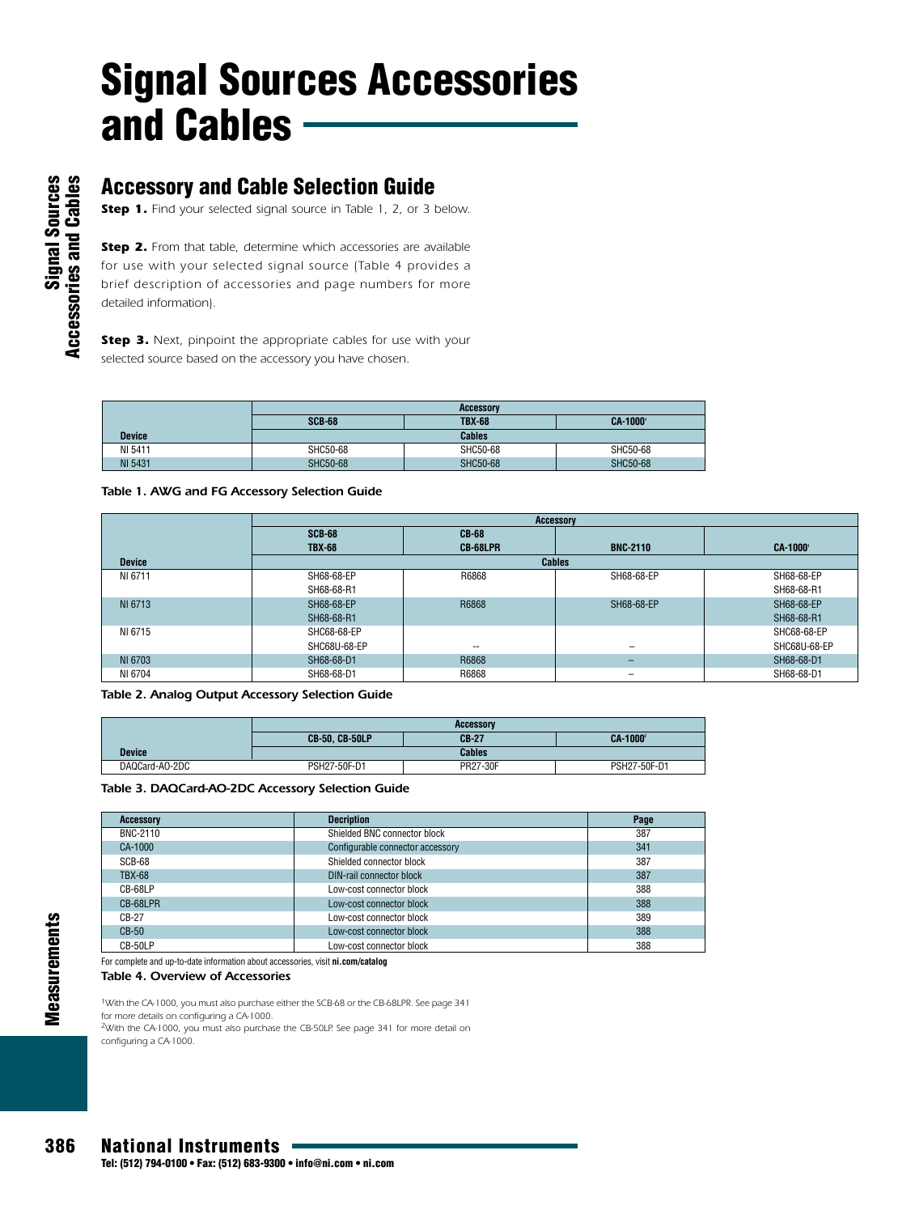### **Accessory and Cable Selection Guide**

*Step 1. Find your selected signal source in Table 1, 2, or 3 below.* 

*Step 2. From that table, determine which accessories are available for use with your selected signal source (Table 4 provides a brief description of accessories and page numbers for more detailed information).* 

*Step 3. Next, pinpoint the appropriate cables for use with your selected source based on the accessory you have chosen.*

|                | <b>Accessory</b> |               |                |
|----------------|------------------|---------------|----------------|
|                | <b>SCB-68</b>    | <b>TBX-68</b> | <b>CA-1000</b> |
| <b>Device</b>  |                  | <b>Cables</b> |                |
| NI 5411        | SHC50-68         | SHC50-68      | SHC50-68       |
| <b>NI 5431</b> | SHC50-68         | SHC50-68      | SHC50-68       |

#### *Table 1. AWG and FG Accessory Selection Guide*

|               | <b>Accessory</b> |               |                          |                 |  |
|---------------|------------------|---------------|--------------------------|-----------------|--|
|               | <b>SCB-68</b>    |               |                          |                 |  |
|               | <b>TBX-68</b>    | CB-68LPR      | <b>BNC-2110</b>          | <b>CA-1000'</b> |  |
| <b>Device</b> |                  | <b>Cables</b> |                          |                 |  |
| NI 6711       | SH68-68-EP       | R6868         | SH68-68-EP               | SH68-68-EP      |  |
|               | SH68-68-R1       |               |                          | SH68-68-R1      |  |
| NI 6713       | SH68-68-EP       | R6868         | SH68-68-EP               | SH68-68-EP      |  |
|               | SH68-68-R1       |               |                          | SH68-68-R1      |  |
| NI 6715       | SHC68-68-EP      |               |                          | SHC68-68-EP     |  |
|               | SHC68U-68-EP     | $- -$         | $\overline{\phantom{0}}$ | SHC68U-68-EP    |  |
| NI 6703       | SH68-68-D1       | R6868         | -                        | SH68-68-D1      |  |
| NI 6704       | SH68-68-D1       | R6868         | $\overline{\phantom{0}}$ | SH68-68-D1      |  |

*Table 2. Analog Output Accessory Selection Guide*

|                | <b>Accessory</b>                 |               |                |  |
|----------------|----------------------------------|---------------|----------------|--|
|                | $CB-27$<br><b>CB-50, CB-50LP</b> |               | <b>CA-1000</b> |  |
| <b>Device</b>  |                                  | <b>Cables</b> |                |  |
| DAQCard-AO-2DC | PSH27-50F-D1                     | PR27-30F      | PSH27-50F-D1   |  |

#### *Table 3. DAQCard-AO-2DC Accessory Selection Guide*

| <b>Accessory</b> | <b>Decription</b>                | Page |
|------------------|----------------------------------|------|
| BNC-2110         | Shielded BNC connector block     | 387  |
| CA-1000          | Configurable connector accessory | 341  |
| SCB-68           | Shielded connector block         | 387  |
| <b>TBX-68</b>    | DIN-rail connector block         | 387  |
| CB-68LP          | Low-cost connector block         | 388  |
| CB-68LPR         | Low-cost connector block         | 388  |
| CB-27            | Low-cost connector block         | 389  |
| $CB-50$          | Low-cost connector block         | 388  |
| CB-50LP          | Low-cost connector block         | 388  |

For complete and up-to-date information about accessories, visit **ni.com/catalog**

*Table 4. Overview of Accessories*

*1With the CA-1000, you must also purchase either the SCB-68 or the CB-68LPR. See page 341 for more details on configuring a CA-1000. 2With the CA-1000, you must also purchase the CB-50LP. See page 341 for more detail on configuring a CA-1000.*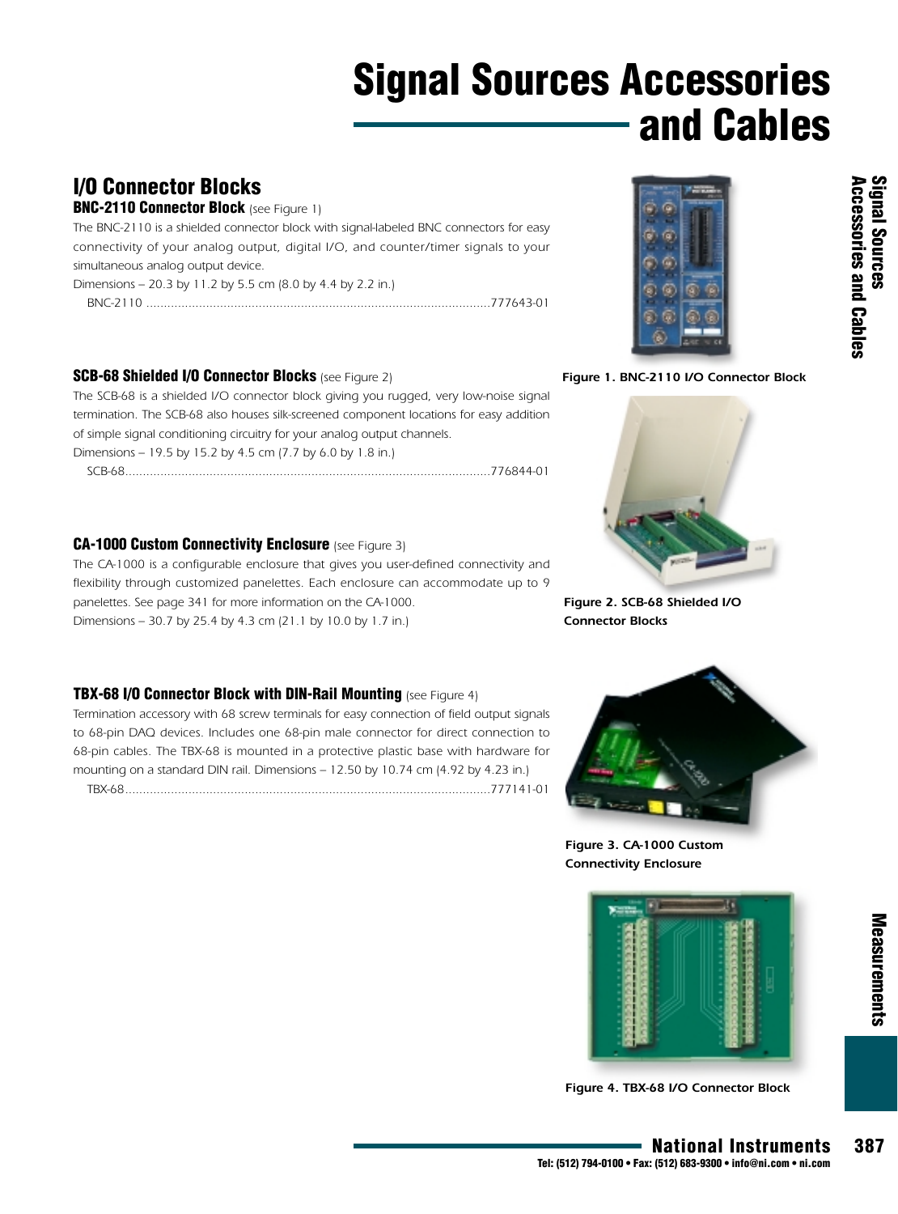### **I/O Connector Blocks**

#### **BNC-2110 Connector Block** *(see Figure 1)*

*The BNC-2110 is a shielded connector block with signal-labeled BNC connectors for easy connectivity of your analog output, digital I/O, and counter/timer signals to your simultaneous analog output device.* 

*Dimensions – 20.3 by 11.2 by 5.5 cm (8.0 by 4.4 by 2.2 in.)*

| BNC- |
|------|
|------|

#### **SCB-68 Shielded I/O Connector Blocks** *(see Figure 2)*

*The SCB-68 is a shielded I/O connector block giving you rugged, very low-noise signal termination. The SCB-68 also houses silk-screened component locations for easy addition of simple signal conditioning circuitry for your analog output channels. Dimensions – 19.5 by 15.2 by 4.5 cm (7.7 by 6.0 by 1.8 in.) SCB-68........................................................................................................776844-01*

**CA-1000 Custom Connectivity Enclosure** *(see Figure 3)*

*The CA-1000 is a configurable enclosure that gives you user-defined connectivity and flexibility through customized panelettes. Each enclosure can accommodate up to 9 panelettes. See page 341 for more information on the CA-1000. Dimensions – 30.7 by 25.4 by 4.3 cm (21.1 by 10.0 by 1.7 in.)*

#### **TBX-68 I/O Connector Block with DIN-Rail Mounting** *(see Figure 4)*

*Termination accessory with 68 screw terminals for easy connection of field output signals to 68-pin DAQ devices. Includes one 68-pin male connector for direct connection to 68-pin cables. The TBX-68 is mounted in a protective plastic base with hardware for mounting on a standard DIN rail. Dimensions – 12.50 by 10.74 cm (4.92 by 4.23 in.)*

*TBX-68........................................................................................................777141-01*



*Figure 1. BNC-2110 I/O Connector Block* 



*Figure 2. SCB-68 Shielded I/O Connector Blocks*



*Figure 3. CA-1000 Custom Connectivity Enclosure*



Measurements

*Figure 4. TBX-68 I/O Connector Block*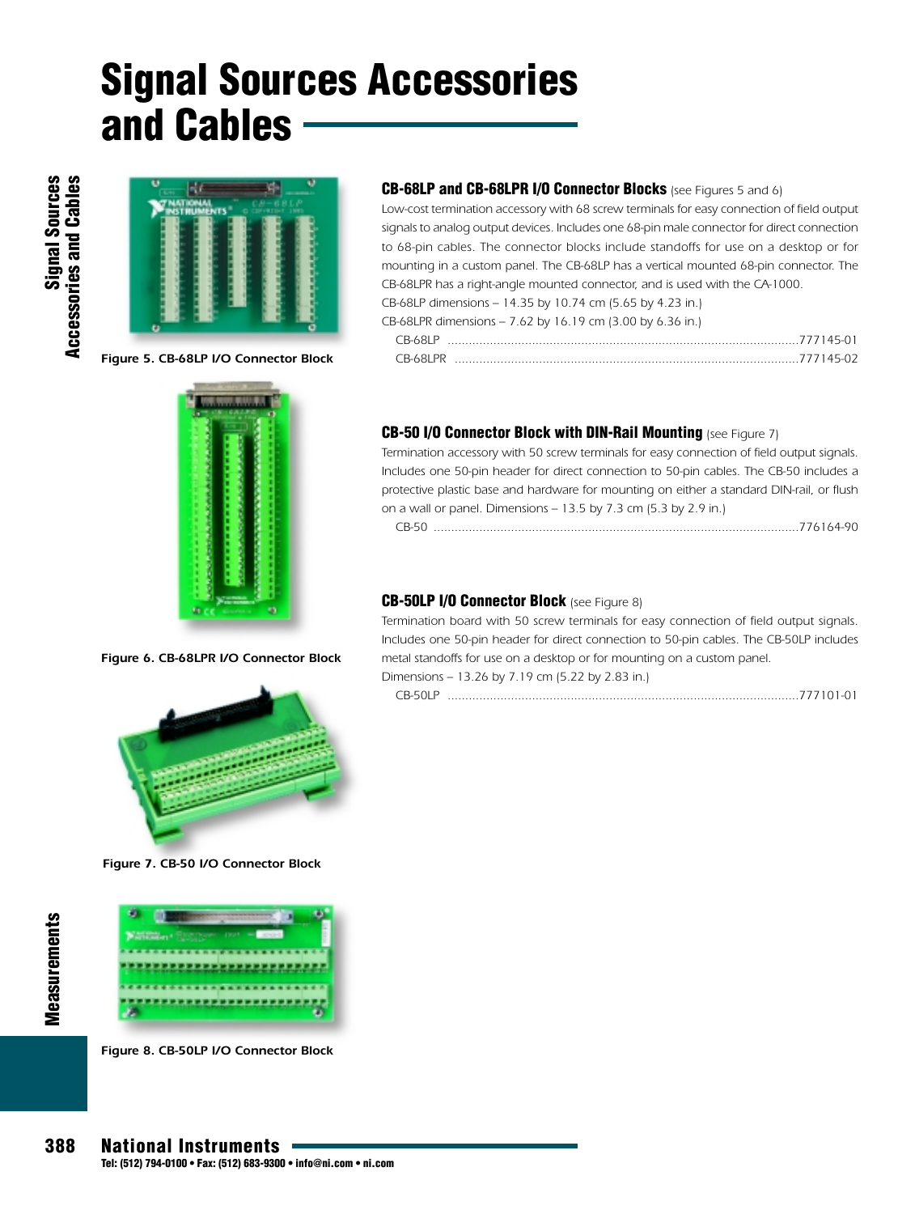

*Figure 5. CB-68LP I/O Connector Block*

*Figure 6. CB-68LPR I/O Connector Block*



*Figure 7. CB-50 I/O Connector Block*



*Figure 8. CB-50LP I/O Connector Block*

#### **CB-68LP and CB-68LPR I/O Connector Blocks** *(see Figures 5 and 6)*

*Low-cost termination accessory with 68 screw terminals for easy connection of field output signals to analog output devices. Includes one 68-pin male connector for direct connection to 68-pin cables. The connector blocks include standoffs for use on a desktop or for mounting in a custom panel. The CB-68LP has a vertical mounted 68-pin connector. The CB-68LPR has a right-angle mounted connector, and is used with the CA-1000. CB-68LP dimensions – 14.35 by 10.74 cm (5.65 by 4.23 in.)*

| CB-68LPR dimensions – 7.62 by 16.19 cm (3.00 by 6.36 in.) |  |  |  |
|-----------------------------------------------------------|--|--|--|

| L B-YZL P |  |  |  |  |
|-----------|--|--|--|--|
| CR-681 PR |  |  |  |  |

#### **CB-50 I/O Connector Block with DIN-Rail Mounting** *(see Figure 7)*

*Termination accessory with 50 screw terminals for easy connection of field output signals. Includes one 50-pin header for direct connection to 50-pin cables. The CB-50 includes a protective plastic base and hardware for mounting on either a standard DIN-rail, or flush on a wall or panel. Dimensions – 13.5 by 7.3 cm (5.3 by 2.9 in.)*

|--|--|--|--|

#### **CB-50LP I/O Connector Block** *(see Figure 8)*

*Termination board with 50 screw terminals for easy connection of field output signals. Includes one 50-pin header for direct connection to 50-pin cables. The CB-50LP includes metal standoffs for use on a desktop or for mounting on a custom panel. Dimensions – 13.26 by 7.19 cm (5.22 by 2.83 in.)*

*CB-50LP ....................................................................................................777101-01*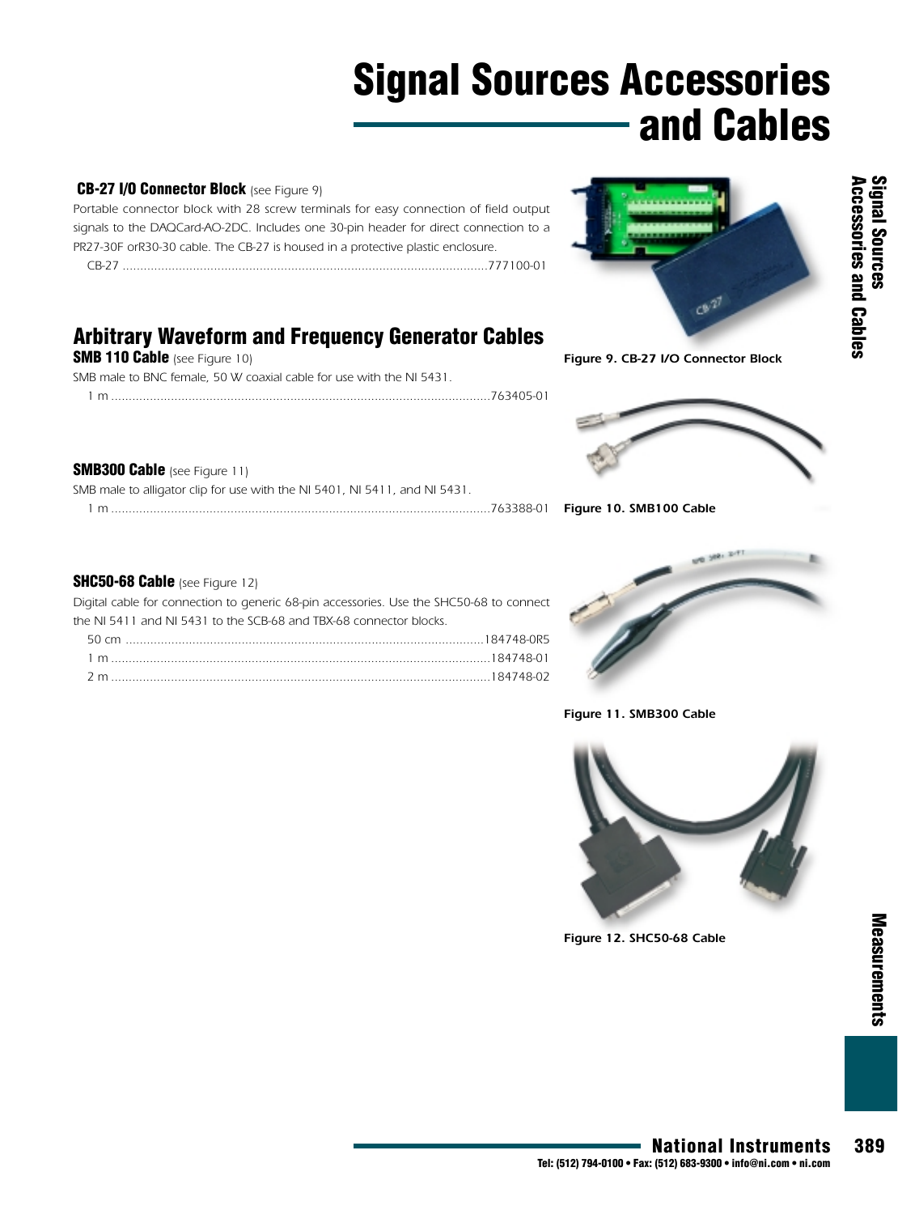#### **CB-27 I/O Connector Block** *(see Figure 9)*

*Portable connector block with 28 screw terminals for easy connection of field output signals to the DAQCard-AO-2DC. Includes one 30-pin header for direct connection to a PR27-30F orR30-30 cable. The CB-27 is housed in a protective plastic enclosure. CB-27 ........................................................................................................777100-01*

**Arbitrary Waveform and Frequency Generator Cables** 

*1 m ............................................................................................................763405-01*

*SMB male to BNC female, 50 W coaxial cable for use with the NI 5431.*

*SMB male to alligator clip for use with the NI 5401, NI 5411, and NI 5431.*



*Figure 9. CB-27 I/O Connector Block*



*1 m ............................................................................................................763388-01 Figure 10. SMB100 Cable* 

#### **SHC50-68 Cable** *(see Figure 12)*

**SMB 110 Cable** *(see Figure 10)*

**SMB300 Cable** *(see Figure 11)*

*Digital cable for connection to generic 68-pin accessories. Use the SHC50-68 to connect the NI 5411 and NI 5431 to the SCB-68 and TBX-68 connector blocks. 50 cm ......................................................................................................184748-0R5 1 m ............................................................................................................184748-01 2 m ............................................................................................................184748-02*



*Figure 11. SMB300 Cable*



*Figure 12. SHC50-68 Cable* 

**National Instruments 389**

**Measurements**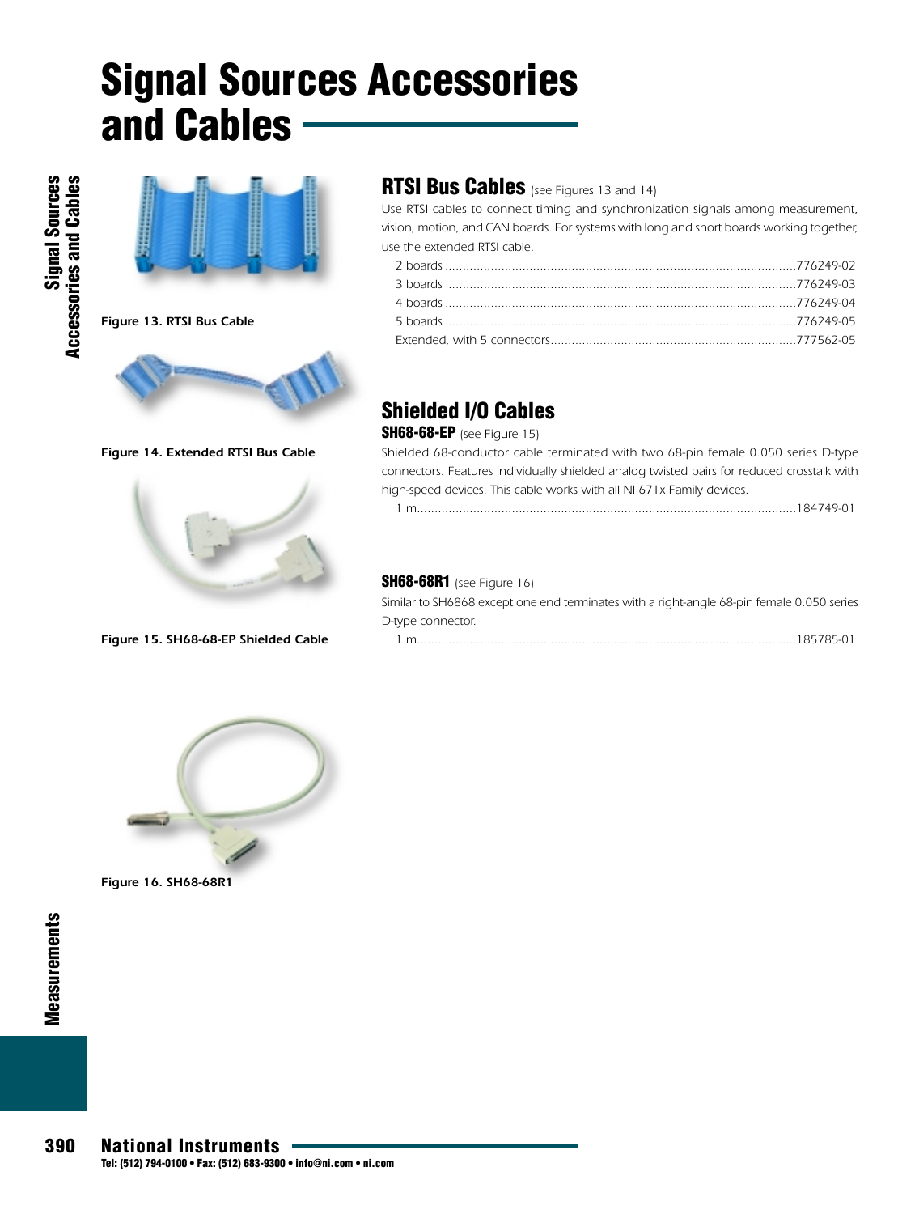

### **RTSI Bus Cables** *(see Figures 13 and 14)*

*Use RTSI cables to connect timing and synchronization signals among measurement, vision, motion, and CAN boards. For systems with long and short boards working together, use the extended RTSI cable.*

### **Shielded I/O Cables**

#### **SH68-68-EP** *(see Figure 15)*

*Shielded 68-conductor cable terminated with two 68-pin female 0.050 series D-type connectors. Features individually shielded analog twisted pairs for reduced crosstalk with high-speed devices. This cable works with all NI 671x Family devices.*

| 10171001<br>$\sim$ |  |  |
|--------------------|--|--|
|--------------------|--|--|

#### **SH68-68R1** *(see Figure 16)*

| Similar to SH6868 except one end terminates with a right-angle 68-pin female 0.050 series |
|-------------------------------------------------------------------------------------------|
| D-type connector.                                                                         |
|                                                                                           |



*Figure 14. Extended RTSI Bus Cable*

#### *Figure 15. SH68-68-EP Shielded Cable*



*Figure 16. SH68-68R1*